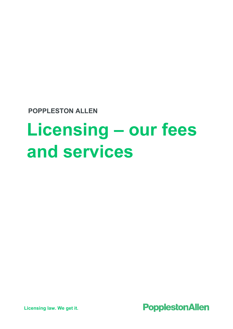**POPPLESTON ALLEN**

# **Licensing – our fees and services**



**Licensing law. We get it.**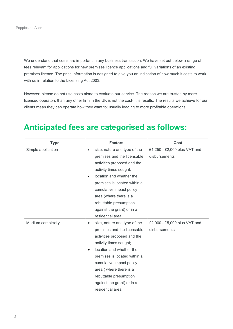We understand that costs are important in any business transaction. We have set out below a range of fees relevant for applications for new premises licence applications and full variations of an existing premises licence. The price information is designed to give you an indication of how much it costs to work with us in relation to the Licensing Act 2003.

However, please do not use costs alone to evaluate our service. The reason we are trusted by more licensed operators than any other firm in the UK is not the cost- it is results. The results we achieve for our clients mean they can operate how they want to; usually leading to more profitable operations.

#### **Anticipated fees are categorised as follows:**

| <b>Type</b>        | <b>Factors</b>                            | <b>Cost</b>                  |  |
|--------------------|-------------------------------------------|------------------------------|--|
| Simple application | size, nature and type of the<br>$\bullet$ | £1,250 - £2,000 plus VAT and |  |
|                    | premises and the licensable               | disbursements                |  |
|                    | activities proposed and the               |                              |  |
|                    | activity times sought;                    |                              |  |
|                    | location and whether the                  |                              |  |
|                    | premises is located within a              |                              |  |
|                    | cumulative impact policy                  |                              |  |
|                    | area (where there is a                    |                              |  |
|                    | rebuttable presumption                    |                              |  |
|                    | against the grant) or in a                |                              |  |
|                    | residential area.                         |                              |  |
| Medium complexity  | size, nature and type of the              | £2,000 - £5,000 plus VAT and |  |
|                    | premises and the licensable               | disbursements                |  |
|                    | activities proposed and the               |                              |  |
|                    | activity times sought;                    |                              |  |
|                    | location and whether the                  |                              |  |
|                    | premises is located within a              |                              |  |
|                    | cumulative impact policy                  |                              |  |
|                    | area (where there is a                    |                              |  |
|                    | rebuttable presumption                    |                              |  |
|                    | against the grant) or in a                |                              |  |
|                    | residential area.                         |                              |  |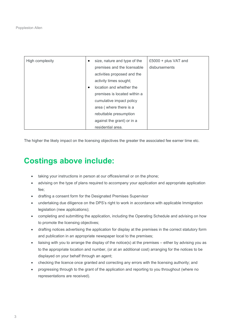| High complexity | ٠         | size, nature and type of the | £5000 + plus VAT and |
|-----------------|-----------|------------------------------|----------------------|
|                 |           | premises and the licensable  | disbursements        |
|                 |           | activities proposed and the  |                      |
|                 |           | activity times sought;       |                      |
|                 | $\bullet$ | location and whether the     |                      |
|                 |           | premises is located within a |                      |
|                 |           | cumulative impact policy     |                      |
|                 |           | area (where there is a       |                      |
|                 |           | rebuttable presumption       |                      |
|                 |           | against the grant) or in a   |                      |
|                 |           | residential area.            |                      |

The higher the likely impact on the licensing objectives the greater the associated fee earner time etc.

# **Costings above include:**

- taking your instructions in person at our offices/email or on the phone;
- advising on the type of plans required to accompany your application and appropriate application fee;
- drafting a consent form for the Designated Premises Supervisor
- undertaking due diligence on the DPS's right to work in accordance with applicable Immigration legislation (new applications);
- completing and submitting the application, including the Operating Schedule and advising on how to promote the licensing objectives;
- drafting notices advertising the application for display at the premises in the correct statutory form and publication in an appropriate newspaper local to the premises;
- liaising with you to arrange the display of the notice(s) at the premises either by advising you as to the appropriate location and number, (or at an additional cost) arranging for the notices to be displayed on your behalf through an agent;
- checking the licence once granted and correcting any errors with the licensing authority; and
- progressing through to the grant of the application and reporting to you throughout (where no representations are received).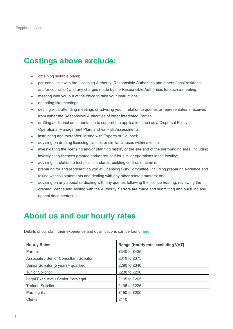# **Costings above exclude:**

- obtaining suitable plans;
- pre-consulting with the Licensing Authority, Responsible Authorities and others (local residents and/or councillor) and any charges made by the Responsible Authorities for such a meeting;
- meeting with you out of the office to take your instructions;
- attending site meetings;
- dealing with, attending meetings or advising you in relation to queries or representations received from either the Responsible Authorities of other Interested Parties;
- drafting additional documentation to support the application such as a Dispersal Policy, Operational Management Plan, and /or Risk Assessments;
- instructing and thereafter liaising with Experts or Counsel;
- advising on drafting licensing clauses or similar clauses within a lease;
- investigating the licensing and/or planning history of the site and of the surrounding area, including investigating licences granted and/or refused for similar operations in the locality;
- advising in relation to technical standards, building control, or similar;
- preparing for and representing you at Licensing Sub-Committee, including preparing evidence and taking witness statements and dealing with any other related matters; and
- advising on any appeal or dealing with any queries following the licence hearing, reviewing the granted licence and liaising with the Authority if errors are made and submitting and pursuing any appeal documentation.

### **About us and our hourly rates**

Details of our staff, their experience and qualifications can be found [here.](https://www.popall.co.uk/meet-the-team)

| <b>Hourly Rates</b>                     | Range [Hourly rate, excluding VAT] |
|-----------------------------------------|------------------------------------|
| Partner                                 | £340 to £435                       |
| Associate / Senior Consultant Solicitor | £310 to £375                       |
| Senior Solicitor [5 years+ qualified]   | £290 to £340                       |
| Junior Solicitor                        | £230 to £290                       |
| Legal Executive / Senior Paralegal      | £195 to £265                       |
| <b>Trainee Solicitor</b>                | £195 to £225                       |
| Paralegals                              | £150 to £200                       |
| <b>Clerks</b>                           | £110                               |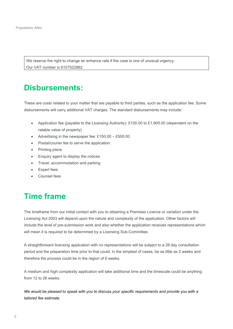We reserve the right to change an enhance rate if the case is one of unusual urgency. Our VAT number is 6107522862

## **Disbursements:**

These are costs related to your matter that are payable to third parties, such as the application fee. Some disbursements will carry additional VAT charges. The standard disbursements may include:

- Application fee (payable to the Licensing Authority): £100.00 to £1,905.00 (dependent on the ratable value of property)
- Advertising in the newspaper fee: £150.00 £500.00
- Postal/courier fee to serve the application:
- Printing plans
- Enquiry agent to display the notices
- Travel, accommodation and parking
- **Expert fees**
- Counsel fees

#### **Time frame**

The timeframe from our initial contact with you to obtaining a Premises Licence or variation under the Licensing Act 2003 will depend upon the nature and complexity of the application. Other factors will include the level of pre-submission work and also whether the application receives representations which will mean it is required to be determined by a Licensing Sub-Committee.

A straightforward licensing application with no representations will be subject to a 28 day consultation period and the preparation time prior to that could, in the simplest of cases, be as little as 2 weeks and therefore the process could be in the region of 6 weeks.

A medium and high complexity application will take additional time and the timescale could be anything from 12 to 26 weeks.

*We would be pleased to speak with you to discuss your specific requirements and provide you with a tailored fee estimate.*